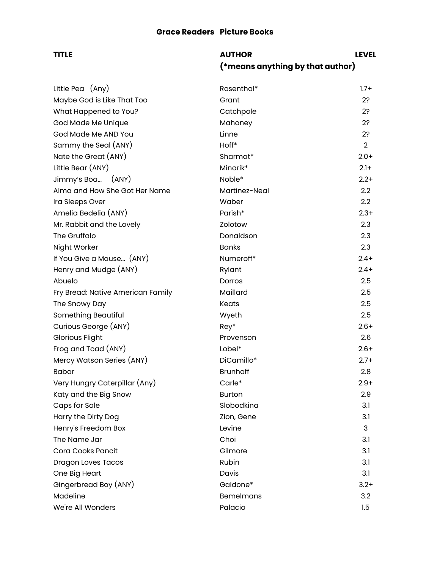# **TITLE AUTHOR LEVEL (\*means anything by that author)**

| Little Pea (Any)                  | Rosenthal*       | $1.7 +$          |
|-----------------------------------|------------------|------------------|
| Maybe God is Like That Too        | Grant            | 2?               |
| What Happened to You?             | Catchpole        | 2?               |
| God Made Me Unique                | Mahoney          | 2?               |
| God Made Me AND You               | Linne            | 2?               |
| Sammy the Seal (ANY)              | Hoff*            | $\overline{2}$   |
| Nate the Great (ANY)              | Sharmat*         | $2.0+$           |
| Little Bear (ANY)                 | Minarik*         | $2.1+$           |
| Jimmy's Boa (ANY)                 | Noble*           | $2.2+$           |
| Alma and How She Got Her Name     | Martinez-Neal    | $2.2\phantom{0}$ |
| Ira Sleeps Over                   | Waber            | 2.2              |
| Amelia Bedelia (ANY)              | Parish*          | $2.3+$           |
| Mr. Rabbit and the Lovely         | Zolotow          | 2.3              |
| The Gruffalo                      | Donaldson        | 2.3              |
| Night Worker                      | <b>Banks</b>     | 2.3              |
| If You Give a Mouse (ANY)         | Numeroff*        | $2.4+$           |
| Henry and Mudge (ANY)             | Rylant           | $2.4+$           |
| Abuelo                            | Dorros           | $2.5\,$          |
| Fry Bread: Native American Family | Maillard         | 2.5              |
| The Snowy Day                     | Keats            | $2.5\,$          |
| Something Beautiful               | Wyeth            | 2.5              |
| Curious George (ANY)              | Rey*             | $2.6+$           |
| Glorious Flight                   | Provenson        | $2.6\,$          |
| Frog and Toad (ANY)               | Lobel*           | $2.6+$           |
| Mercy Watson Series (ANY)         | DiCamillo*       | $2.7+$           |
| Babar                             | <b>Brunhoff</b>  | 2.8              |
| Very Hungry Caterpillar (Any)     | Carle*           | $2.9 +$          |
| Katy and the Big Snow             | <b>Burton</b>    | 2.9              |
| Caps for Sale                     | Slobodkina       | 3.1              |
| Harry the Dirty Dog               | Zion, Gene       | 3.1              |
| Henry's Freedom Box               | Levine           | 3                |
| The Name Jar                      | Choi             | 3.1              |
| Cora Cooks Pancit                 | Gilmore          | 3.1              |
| <b>Dragon Loves Tacos</b>         | Rubin            | 3.1              |
| One Big Heart                     | Davis            | 3.1              |
| Gingerbread Boy (ANY)             | Galdone*         | $3.2+$           |
| Madeline                          | <b>Bemelmans</b> | 3.2              |
| We're All Wonders                 | Palacio          | 1.5              |
|                                   |                  |                  |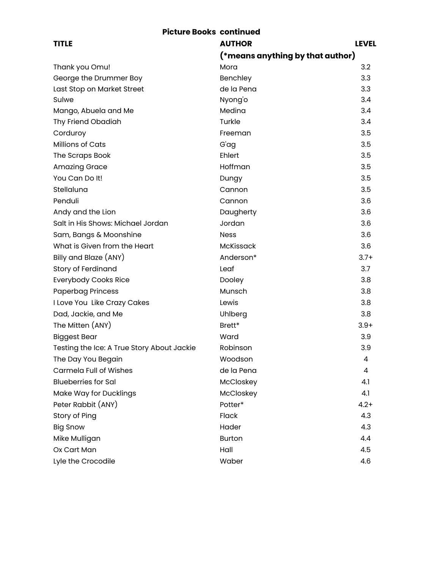### **Picture Books continued**

| <b>TITLE</b>                               | <b>AUTHOR</b>                    | <b>LEVEL</b> |
|--------------------------------------------|----------------------------------|--------------|
|                                            | (*means anything by that author) |              |
| Thank you Omu!                             | Mora                             | 3.2          |
| George the Drummer Boy                     | Benchley                         | 3.3          |
| Last Stop on Market Street                 | de la Pena                       | 3.3          |
| Sulwe                                      | Nyong'o                          | 3.4          |
| Mango, Abuela and Me                       | Medina                           | 3.4          |
| Thy Friend Obadiah                         | Turkle                           | 3.4          |
| Corduroy                                   | Freeman                          | 3.5          |
| Millions of Cats                           | G'ag                             | 3.5          |
| The Scraps Book                            | Ehlert                           | 3.5          |
| <b>Amazing Grace</b>                       | Hoffman                          | 3.5          |
| You Can Do It!                             | Dungy                            | 3.5          |
| Stellaluna                                 | Cannon                           | 3.5          |
| Penduli                                    | Cannon                           | 3.6          |
| Andy and the Lion                          | Daugherty                        | 3.6          |
| Salt in His Shows: Michael Jordan          | Jordan                           | 3.6          |
| Sam, Bangs & Moonshine                     | <b>Ness</b>                      | 3.6          |
| What is Given from the Heart               | <b>McKissack</b>                 | 3.6          |
| Billy and Blaze (ANY)                      | Anderson*                        | $3.7+$       |
| <b>Story of Ferdinand</b>                  | Leaf                             | 3.7          |
| <b>Everybody Cooks Rice</b>                | Dooley                           | 3.8          |
| <b>Paperbag Princess</b>                   | Munsch                           | 3.8          |
| I Love You Like Crazy Cakes                | Lewis                            | 3.8          |
| Dad, Jackie, and Me                        | Uhlberg                          | 3.8          |
| The Mitten (ANY)                           | Brett*                           | $3.9+$       |
| <b>Biggest Bear</b>                        | Ward                             | 3.9          |
| Testing the Ice: A True Story About Jackie | Robinson                         | 3.9          |
| The Day You Begain                         | Woodson                          | 4            |
| <b>Carmela Full of Wishes</b>              | de la Pena                       | 4            |
| <b>Blueberries for Sal</b>                 | McCloskey                        | 4.1          |
| Make Way for Ducklings                     | McCloskey                        | 4.1          |
| Peter Rabbit (ANY)                         | Potter*                          | $4.2 +$      |
| Story of Ping                              | Flack                            | 4.3          |
| <b>Big Snow</b>                            | Hader                            | 4.3          |
| Mike Mulligan                              | <b>Burton</b>                    | 4.4          |
| Ox Cart Man                                | Hall                             | 4.5          |
| Lyle the Crocodile                         | Waber                            | 4.6          |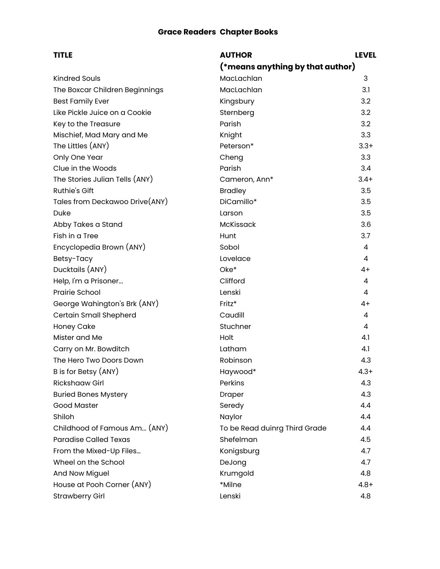## **Grace Readers Chapter Books**

| <b>TITLE</b>                   | <b>AUTHOR</b>                    | <b>LEVEL</b> |
|--------------------------------|----------------------------------|--------------|
|                                | (*means anything by that author) |              |
| <b>Kindred Souls</b>           | MacLachlan                       | 3            |
| The Boxcar Children Beginnings | MacLachlan                       | 3.1          |
| <b>Best Family Ever</b>        | Kingsbury                        | 3.2          |
| Like Pickle Juice on a Cookie  | Sternberg                        | 3.2          |
| Key to the Treasure            | Parish                           | 3.2          |
| Mischief, Mad Mary and Me      | Knight                           | 3.3          |
| The Littles (ANY)              | Peterson*                        | $3.3+$       |
| Only One Year                  | Cheng                            | 3.3          |
| Clue in the Woods              | Parish                           | 3.4          |
| The Stories Julian Tells (ANY) | Cameron, Ann*                    | $3.4+$       |
| Ruthie's Gift                  | <b>Bradley</b>                   | 3.5          |
| Tales from Deckawoo Drive(ANY) | DiCamillo*                       | 3.5          |
| Duke                           | Larson                           | 3.5          |
| Abby Takes a Stand             | McKissack                        | 3.6          |
| Fish in a Tree                 | Hunt                             | 3.7          |
| Encyclopedia Brown (ANY)       | Sobol                            | 4            |
| Betsy-Tacy                     | Lovelace                         | 4            |
| Ducktails (ANY)                | Oke*                             | 4+           |
| Help, I'm a Prisoner           | Clifford                         | 4            |
| Prairie School                 | Lenski                           | 4            |
| George Wahington's Brk (ANY)   | Fritz*                           | $4+$         |
| Certain Small Shepherd         | Caudill                          | 4            |
| Honey Cake                     | Stuchner                         | 4            |
| Mister and Me                  | Holt                             | 4.1          |
| Carry on Mr. Bowditch          | Latham                           | 4.1          |
| The Hero Two Doors Down        | Robinson                         | 4.3          |
| B is for Betsy (ANY)           | Haywood*                         | $4.3+$       |
| <b>Rickshaaw Girl</b>          | Perkins                          | 4.3          |
| <b>Buried Bones Mystery</b>    | Draper                           | 4.3          |
| <b>Good Master</b>             | Seredy                           | 4.4          |
| Shiloh                         | Naylor                           | 4.4          |
| Childhood of Famous Am (ANY)   | To be Read duinrg Third Grade    | 4.4          |
| <b>Paradise Called Texas</b>   | Shefelman                        | 4.5          |
| From the Mixed-Up Files        | Konigsburg                       | 4.7          |
| Wheel on the School            | DeJong                           | 4.7          |
| And Now Miguel                 | Krumgold                         | 4.8          |
| House at Pooh Corner (ANY)     | *Milne                           | $4.8 +$      |
| <b>Strawberry Girl</b>         | Lenski                           | 4.8          |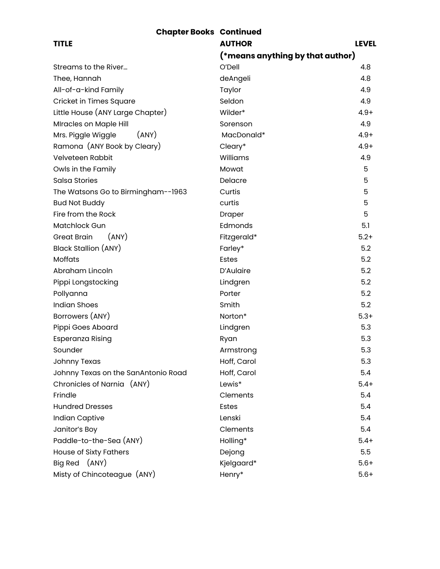| <b>Chapter Books Continued</b>      |                                  |              |
|-------------------------------------|----------------------------------|--------------|
| <b>TITLE</b>                        | <b>AUTHOR</b>                    | <b>LEVEL</b> |
|                                     | (*means anything by that author) |              |
| Streams to the River                | O'Dell                           | 4.8          |
| Thee, Hannah                        | deAngeli                         | 4.8          |
| All-of-a-kind Family                | Taylor                           | 4.9          |
| Cricket in Times Square             | Seldon                           | 4.9          |
| Little House (ANY Large Chapter)    | Wilder*                          | $4.9+$       |
| Miracles on Maple Hill              | Sorenson                         | 4.9          |
| Mrs. Piggle Wiggle<br>(ANY)         | MacDonald*                       | $4.9+$       |
| Ramona (ANY Book by Cleary)         | Cleary*                          | $4.9+$       |
| Velveteen Rabbit                    | Williams                         | 4.9          |
| Owls in the Family                  | Mowat                            | 5            |
| Salsa Stories                       | Delacre                          | 5            |
| The Watsons Go to Birmingham--1963  | Curtis                           | 5            |
| <b>Bud Not Buddy</b>                | curtis                           | 5            |
| Fire from the Rock                  | Draper                           | 5            |
| <b>Matchlock Gun</b>                | Edmonds                          | 5.1          |
| <b>Great Brain</b><br>(ANY)         | Fitzgerald*                      | $5.2+$       |
| Black Stallion (ANY)                | Farley*                          | 5.2          |
| Moffats                             | Estes                            | 5.2          |
| Abraham Lincoln                     | D'Aulaire                        | 5.2          |
| Pippi Longstocking                  | Lindgren                         | 5.2          |
| Pollyanna                           | Porter                           | 5.2          |
| <b>Indian Shoes</b>                 | Smith                            | 5.2          |
| Borrowers (ANY)                     | Norton*                          | $5.3+$       |
| Pippi Goes Aboard                   | Lindgren                         | 5.3          |
| Esperanza Rising                    | Ryan                             | 5.3          |
| Sounder                             | Armstrong                        | 5.3          |
| <b>Johnny Texas</b>                 | Hoff, Carol                      | 5.3          |
| Johnny Texas on the SanAntonio Road | Hoff, Carol                      | 5.4          |
| Chronicles of Narnia (ANY)          | Lewis*                           | $5.4+$       |
| Frindle                             | Clements                         | 5.4          |
| <b>Hundred Dresses</b>              | <b>Estes</b>                     | 5.4          |
| Indian Captive                      | Lenski                           | 5.4          |
| Janitor's Boy                       | Clements                         | 5.4          |
| Paddle-to-the-Sea (ANY)             | Holling*                         | $5.4+$       |
| House of Sixty Fathers              | Dejong                           | 5.5          |
| (ANY)<br>Big Red                    | Kjelgaard*                       | $5.6+$       |
| Misty of Chincoteague (ANY)         | Henry*                           | $5.6+$       |